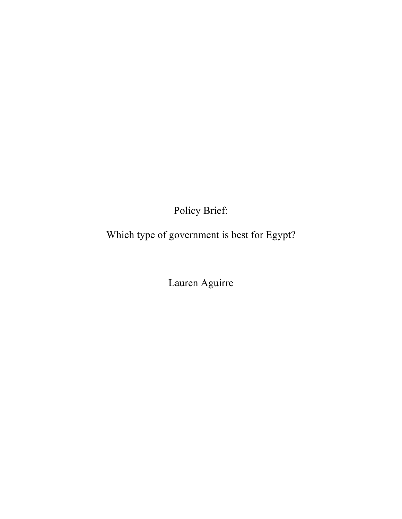Policy Brief:

Which type of government is best for Egypt?

Lauren Aguirre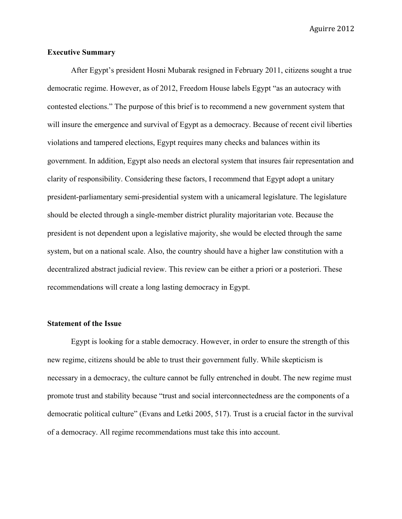### **Executive Summary**

After Egypt's president Hosni Mubarak resigned in February 2011, citizens sought a true democratic regime. However, as of 2012, Freedom House labels Egypt "as an autocracy with contested elections." The purpose of this brief is to recommend a new government system that will insure the emergence and survival of Egypt as a democracy. Because of recent civil liberties violations and tampered elections, Egypt requires many checks and balances within its government. In addition, Egypt also needs an electoral system that insures fair representation and clarity of responsibility. Considering these factors, I recommend that Egypt adopt a unitary president-parliamentary semi-presidential system with a unicameral legislature. The legislature should be elected through a single-member district plurality majoritarian vote. Because the president is not dependent upon a legislative majority, she would be elected through the same system, but on a national scale. Also, the country should have a higher law constitution with a decentralized abstract judicial review. This review can be either a priori or a posteriori. These recommendations will create a long lasting democracy in Egypt.

## **Statement of the Issue**

Egypt is looking for a stable democracy. However, in order to ensure the strength of this new regime, citizens should be able to trust their government fully. While skepticism is necessary in a democracy, the culture cannot be fully entrenched in doubt. The new regime must promote trust and stability because "trust and social interconnectedness are the components of a democratic political culture" (Evans and Letki 2005, 517). Trust is a crucial factor in the survival of a democracy. All regime recommendations must take this into account.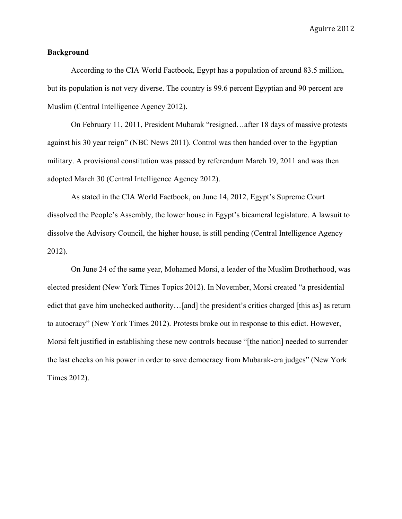#### **Background**

According to the CIA World Factbook, Egypt has a population of around 83.5 million, but its population is not very diverse. The country is 99.6 percent Egyptian and 90 percent are Muslim (Central Intelligence Agency 2012).

On February 11, 2011, President Mubarak "resigned…after 18 days of massive protests against his 30 year reign" (NBC News 2011). Control was then handed over to the Egyptian military. A provisional constitution was passed by referendum March 19, 2011 and was then adopted March 30 (Central Intelligence Agency 2012).

As stated in the CIA World Factbook, on June 14, 2012, Egypt's Supreme Court dissolved the People's Assembly, the lower house in Egypt's bicameral legislature. A lawsuit to dissolve the Advisory Council, the higher house, is still pending (Central Intelligence Agency 2012).

On June 24 of the same year, Mohamed Morsi, a leader of the Muslim Brotherhood, was elected president (New York Times Topics 2012). In November, Morsi created "a presidential edict that gave him unchecked authority...[and] the president's critics charged [this as] as return to autocracy" (New York Times 2012). Protests broke out in response to this edict. However, Morsi felt justified in establishing these new controls because "[the nation] needed to surrender the last checks on his power in order to save democracy from Mubarak-era judges" (New York Times 2012).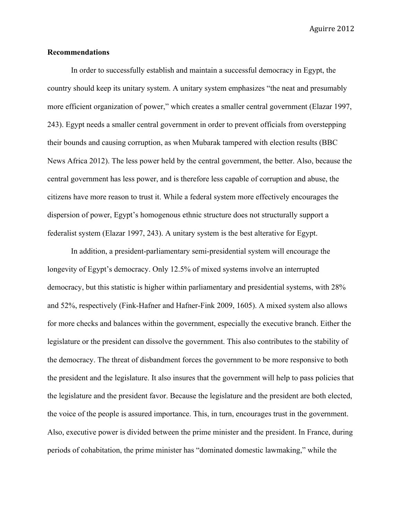### **Recommendations**

In order to successfully establish and maintain a successful democracy in Egypt, the country should keep its unitary system. A unitary system emphasizes "the neat and presumably more efficient organization of power," which creates a smaller central government (Elazar 1997, 243). Egypt needs a smaller central government in order to prevent officials from overstepping their bounds and causing corruption, as when Mubarak tampered with election results (BBC News Africa 2012). The less power held by the central government, the better. Also, because the central government has less power, and is therefore less capable of corruption and abuse, the citizens have more reason to trust it. While a federal system more effectively encourages the dispersion of power, Egypt's homogenous ethnic structure does not structurally support a federalist system (Elazar 1997, 243). A unitary system is the best alterative for Egypt.

In addition, a president-parliamentary semi-presidential system will encourage the longevity of Egypt's democracy. Only 12.5% of mixed systems involve an interrupted democracy, but this statistic is higher within parliamentary and presidential systems, with 28% and 52%, respectively (Fink-Hafner and Hafner-Fink 2009, 1605). A mixed system also allows for more checks and balances within the government, especially the executive branch. Either the legislature or the president can dissolve the government. This also contributes to the stability of the democracy. The threat of disbandment forces the government to be more responsive to both the president and the legislature. It also insures that the government will help to pass policies that the legislature and the president favor. Because the legislature and the president are both elected, the voice of the people is assured importance. This, in turn, encourages trust in the government. Also, executive power is divided between the prime minister and the president. In France, during periods of cohabitation, the prime minister has "dominated domestic lawmaking," while the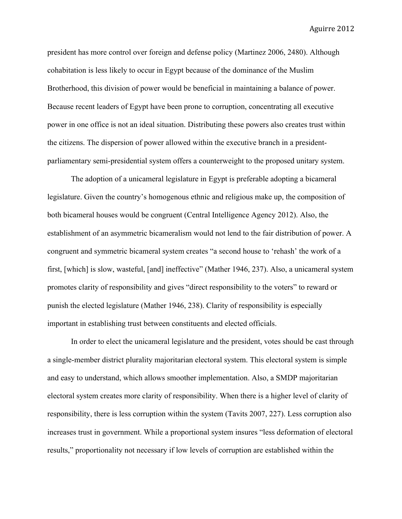president has more control over foreign and defense policy (Martinez 2006, 2480). Although cohabitation is less likely to occur in Egypt because of the dominance of the Muslim Brotherhood, this division of power would be beneficial in maintaining a balance of power. Because recent leaders of Egypt have been prone to corruption, concentrating all executive power in one office is not an ideal situation. Distributing these powers also creates trust within the citizens. The dispersion of power allowed within the executive branch in a presidentparliamentary semi-presidential system offers a counterweight to the proposed unitary system.

The adoption of a unicameral legislature in Egypt is preferable adopting a bicameral legislature. Given the country's homogenous ethnic and religious make up, the composition of both bicameral houses would be congruent (Central Intelligence Agency 2012). Also, the establishment of an asymmetric bicameralism would not lend to the fair distribution of power. A congruent and symmetric bicameral system creates "a second house to 'rehash' the work of a first, [which] is slow, wasteful, [and] ineffective" (Mather 1946, 237). Also, a unicameral system promotes clarity of responsibility and gives "direct responsibility to the voters" to reward or punish the elected legislature (Mather 1946, 238). Clarity of responsibility is especially important in establishing trust between constituents and elected officials.

In order to elect the unicameral legislature and the president, votes should be cast through a single-member district plurality majoritarian electoral system. This electoral system is simple and easy to understand, which allows smoother implementation. Also, a SMDP majoritarian electoral system creates more clarity of responsibility. When there is a higher level of clarity of responsibility, there is less corruption within the system (Tavits 2007, 227). Less corruption also increases trust in government. While a proportional system insures "less deformation of electoral results," proportionality not necessary if low levels of corruption are established within the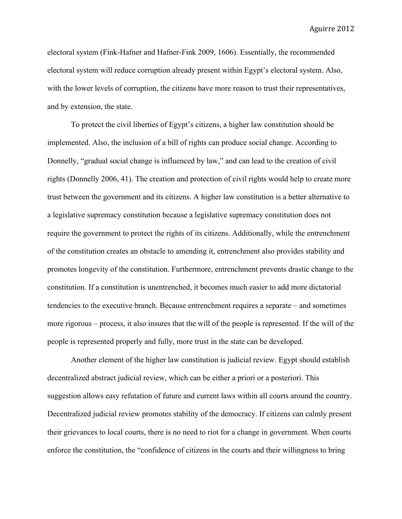electoral system (Fink-Hafner and Hafner-Fink 2009, 1606). Essentially, the recommended electoral system will reduce corruption already present within Egypt's electoral system. Also, with the lower levels of corruption, the citizens have more reason to trust their representatives, and by extension, the state.

To protect the civil liberties of Egypt's citizens, a higher law constitution should be implemented. Also, the inclusion of a bill of rights can produce social change. According to Donnelly, "gradual social change is influenced by law," and can lead to the creation of civil rights (Donnelly 2006, 41). The creation and protection of civil rights would help to create more trust between the government and its citizens. A higher law constitution is a better alternative to a legislative supremacy constitution because a legislative supremacy constitution does not require the government to protect the rights of its citizens. Additionally, while the entrenchment of the constitution creates an obstacle to amending it, entrenchment also provides stability and promotes longevity of the constitution. Furthermore, entrenchment prevents drastic change to the constitution. If a constitution is unentrenched, it becomes much easier to add more dictatorial tendencies to the executive branch. Because entrenchment requires a separate – and sometimes more rigorous – process, it also insures that the will of the people is represented. If the will of the people is represented properly and fully, more trust in the state can be developed.

Another element of the higher law constitution is judicial review. Egypt should establish decentralized abstract judicial review, which can be either a priori or a posteriori. This suggestion allows easy refutation of future and current laws within all courts around the country. Decentralized judicial review promotes stability of the democracy. If citizens can calmly present their grievances to local courts, there is no need to riot for a change in government. When courts enforce the constitution, the "confidence of citizens in the courts and their willingness to bring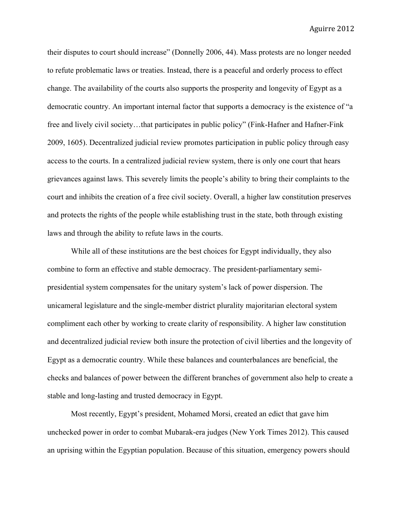their disputes to court should increase" (Donnelly 2006, 44). Mass protests are no longer needed to refute problematic laws or treaties. Instead, there is a peaceful and orderly process to effect change. The availability of the courts also supports the prosperity and longevity of Egypt as a democratic country. An important internal factor that supports a democracy is the existence of "a free and lively civil society...that participates in public policy" (Fink-Hafner and Hafner-Fink 2009, 1605). Decentralized judicial review promotes participation in public policy through easy access to the courts. In a centralized judicial review system, there is only one court that hears grievances against laws. This severely limits the people's ability to bring their complaints to the court and inhibits the creation of a free civil society. Overall, a higher law constitution preserves and protects the rights of the people while establishing trust in the state, both through existing laws and through the ability to refute laws in the courts.

While all of these institutions are the best choices for Egypt individually, they also combine to form an effective and stable democracy. The president-parliamentary semipresidential system compensates for the unitary system's lack of power dispersion. The unicameral legislature and the single-member district plurality majoritarian electoral system compliment each other by working to create clarity of responsibility. A higher law constitution and decentralized judicial review both insure the protection of civil liberties and the longevity of Egypt as a democratic country. While these balances and counterbalances are beneficial, the checks and balances of power between the different branches of government also help to create a stable and long-lasting and trusted democracy in Egypt.

Most recently, Egypt's president, Mohamed Morsi, created an edict that gave him unchecked power in order to combat Mubarak-era judges (New York Times 2012). This caused an uprising within the Egyptian population. Because of this situation, emergency powers should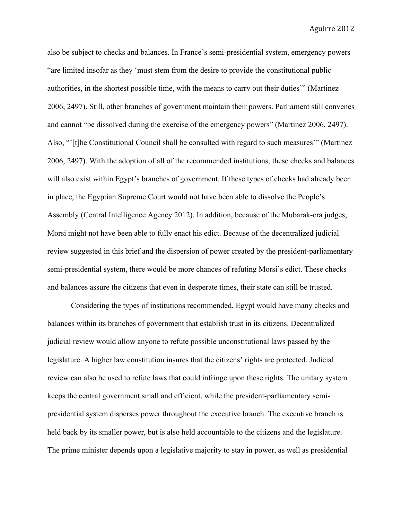also be subject to checks and balances. In France's semi-presidential system, emergency powers "are limited insofar as they 'must stem from the desire to provide the constitutional public authorities, in the shortest possible time, with the means to carry out their duties'" (Martinez 2006, 2497). Still, other branches of government maintain their powers. Parliament still convenes and cannot "be dissolved during the exercise of the emergency powers" (Martinez 2006, 2497). Also, "'[t]he Constitutional Council shall be consulted with regard to such measures'" (Martinez 2006, 2497). With the adoption of all of the recommended institutions, these checks and balances will also exist within Egypt's branches of government. If these types of checks had already been in place, the Egyptian Supreme Court would not have been able to dissolve the People's Assembly (Central Intelligence Agency 2012). In addition, because of the Mubarak-era judges, Morsi might not have been able to fully enact his edict. Because of the decentralized judicial review suggested in this brief and the dispersion of power created by the president-parliamentary semi-presidential system, there would be more chances of refuting Morsi's edict. These checks and balances assure the citizens that even in desperate times, their state can still be trusted.

Considering the types of institutions recommended, Egypt would have many checks and balances within its branches of government that establish trust in its citizens. Decentralized judicial review would allow anyone to refute possible unconstitutional laws passed by the legislature. A higher law constitution insures that the citizens' rights are protected. Judicial review can also be used to refute laws that could infringe upon these rights. The unitary system keeps the central government small and efficient, while the president-parliamentary semipresidential system disperses power throughout the executive branch. The executive branch is held back by its smaller power, but is also held accountable to the citizens and the legislature. The prime minister depends upon a legislative majority to stay in power, as well as presidential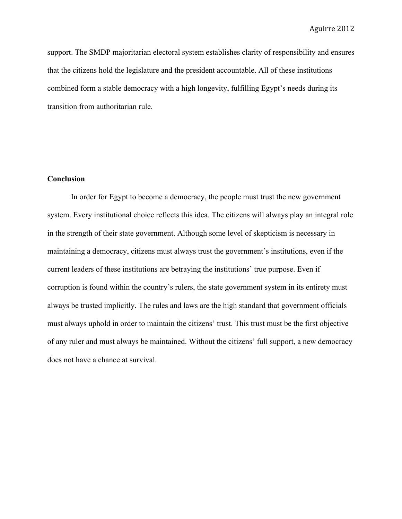support. The SMDP majoritarian electoral system establishes clarity of responsibility and ensures that the citizens hold the legislature and the president accountable. All of these institutions combined form a stable democracy with a high longevity, fulfilling Egypt's needs during its transition from authoritarian rule.

# **Conclusion**

In order for Egypt to become a democracy, the people must trust the new government system. Every institutional choice reflects this idea. The citizens will always play an integral role in the strength of their state government. Although some level of skepticism is necessary in maintaining a democracy, citizens must always trust the government's institutions, even if the current leaders of these institutions are betraying the institutions' true purpose. Even if corruption is found within the country's rulers, the state government system in its entirety must always be trusted implicitly. The rules and laws are the high standard that government officials must always uphold in order to maintain the citizens' trust. This trust must be the first objective of any ruler and must always be maintained. Without the citizens' full support, a new democracy does not have a chance at survival.